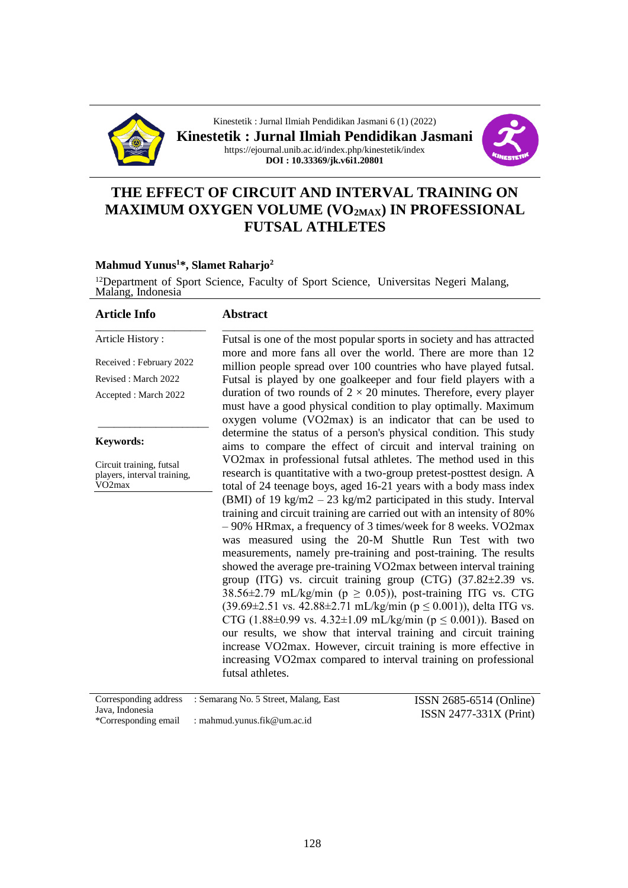

Kinestetik : Jurnal Ilmiah Pendidikan Jasmani 6 (1) (2022) **Kinestetik : Jurnal Ilmiah Pendidikan Jasmani** https://ejournal.unib.ac.id/index.php/kinestetik/index **DOI : 10.33369/jk.v6i1.20801**



# **THE EFFECT OF CIRCUIT AND INTERVAL TRAINING ON MAXIMUM OXYGEN VOLUME (VO2MAX) IN PROFESSIONAL FUTSAL ATHLETES**

#### **Mahmud Yunus<sup>1</sup>\*, Slamet Raharjo<sup>2</sup>**

<sup>12</sup>Department of Sport Science, Faculty of Sport Science, Universitas Negeri Malang, Malang, Indonesia

| <b>Article Info</b> |
|---------------------|
|                     |

# **Abstract**

Received : February 2022

Article History :

Revised : March 2022

Accepted : March 2022

\_\_\_\_\_\_\_\_\_\_\_\_\_\_\_\_\_\_\_\_\_

#### **Keywords:**

Circuit training, futsal players, interval training, VO2max

\_\_\_\_\_\_\_\_\_\_\_\_\_\_\_\_\_\_\_\_\_\_\_\_\_\_\_\_\_\_\_\_\_\_\_\_\_\_\_\_\_\_\_\_\_\_\_\_\_\_\_\_\_\_\_\_\_\_\_ Futsal is one of the most popular sports in society and has attracted more and more fans all over the world. There are more than 12 million people spread over 100 countries who have played futsal. Futsal is played by one goalkeeper and four field players with a duration of two rounds of  $2 \times 20$  minutes. Therefore, every player must have a good physical condition to play optimally. Maximum oxygen volume (VO2max) is an indicator that can be used to determine the status of a person's physical condition. This study aims to compare the effect of circuit and interval training on VO2max in professional futsal athletes. The method used in this research is quantitative with a two-group pretest-posttest design. A total of 24 teenage boys, aged 16-21 years with a body mass index (BMI) of 19 kg/m2 – 23 kg/m2 participated in this study. Interval training and circuit training are carried out with an intensity of 80% – 90% HRmax, a frequency of 3 times/week for 8 weeks. VO2max was measured using the 20-M Shuttle Run Test with two measurements, namely pre-training and post-training. The results showed the average pre-training VO2max between interval training group (ITG) vs. circuit training group (CTG) (37.82±2.39 vs. 38.56 $\pm$ 2.79 mL/kg/min (p  $\geq$  0.05)), post-training ITG vs. CTG  $(39.69 \pm 2.51 \text{ vs. } 42.88 \pm 2.71 \text{ mL/kg/min} (p \le 0.001))$ , delta ITG vs. CTG (1.88 $\pm$ 0.99 vs. 4.32 $\pm$ 1.09 mL/kg/min (p  $\leq$  0.001)). Based on our results, we show that interval training and circuit training increase VO2max. However, circuit training is more effective in increasing VO2max compared to interval training on professional futsal athletes.

|                                         | Corresponding address : Semarang No. 5 Street, Malang, East | ISSN 2685-6514 (Online)  |
|-----------------------------------------|-------------------------------------------------------------|--------------------------|
| Java, Indonesia<br>*Corresponding email | : mahmud.yunus.fik@um.ac.id                                 | $ISSN 2477-331X (Print)$ |
|                                         |                                                             |                          |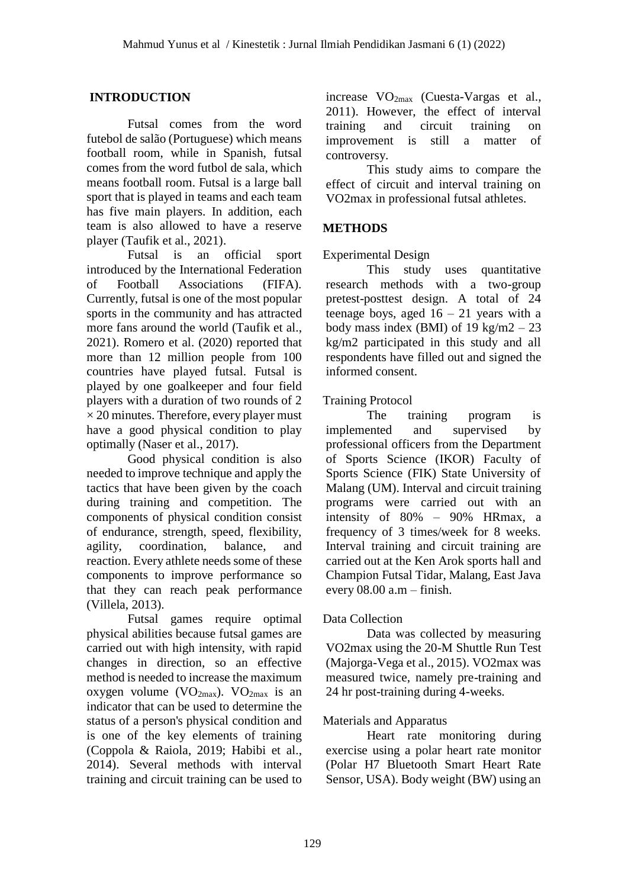### **INTRODUCTION**

Futsal comes from the word futebol de salão (Portuguese) which means football room, while in Spanish, futsal comes from the word futbol de sala, which means football room. Futsal is a large ball sport that is played in teams and each team has five main players. In addition, each team is also allowed to have a reserve player (Taufik et al., 2021).

Futsal is an official sport introduced by the International Federation of Football Associations (FIFA). Currently, futsal is one of the most popular sports in the community and has attracted more fans around the world (Taufik et al., 2021). Romero et al. (2020) reported that more than 12 million people from 100 countries have played futsal. Futsal is played by one goalkeeper and four field players with a duration of two rounds of 2  $\times$  20 minutes. Therefore, every player must have a good physical condition to play optimally (Naser et al., 2017).

Good physical condition is also needed to improve technique and apply the tactics that have been given by the coach during training and competition. The components of physical condition consist of endurance, strength, speed, flexibility, agility, coordination, balance, and reaction. Every athlete needs some of these components to improve performance so that they can reach peak performance (Villela, 2013).

Futsal games require optimal physical abilities because futsal games are carried out with high intensity, with rapid changes in direction, so an effective method is needed to increase the maximum oxygen volume ( $VO_{2max}$ ).  $VO_{2max}$  is an indicator that can be used to determine the status of a person's physical condition and is one of the key elements of training (Coppola & Raiola, 2019; Habibi et al., 2014). Several methods with interval training and circuit training can be used to

increase VO2max (Cuesta-Vargas et al., 2011). However, the effect of interval training and circuit training on improvement is still a matter of controversy.

This study aims to compare the effect of circuit and interval training on VO2max in professional futsal athletes.

# **METHODS**

#### Experimental Design

This study uses quantitative research methods with a two-group pretest-posttest design. A total of 24 teenage boys, aged  $16 - 21$  years with a body mass index (BMI) of  $19 \text{ kg/m}2 - 23$ kg/m2 participated in this study and all respondents have filled out and signed the informed consent.

### Training Protocol

The training program is implemented and supervised by professional officers from the Department of Sports Science (IKOR) Faculty of Sports Science (FIK) State University of Malang (UM). Interval and circuit training programs were carried out with an intensity of 80% – 90% HRmax, a frequency of 3 times/week for 8 weeks. Interval training and circuit training are carried out at the Ken Arok sports hall and Champion Futsal Tidar, Malang, East Java every 08.00 a.m – finish.

#### Data Collection

Data was collected by measuring VO2max using the 20-M Shuttle Run Test (Majorga-Vega et al., 2015). VO2max was measured twice, namely pre-training and 24 hr post-training during 4-weeks.

#### Materials and Apparatus

Heart rate monitoring during exercise using a polar heart rate monitor (Polar H7 Bluetooth Smart Heart Rate Sensor, USA). Body weight (BW) using an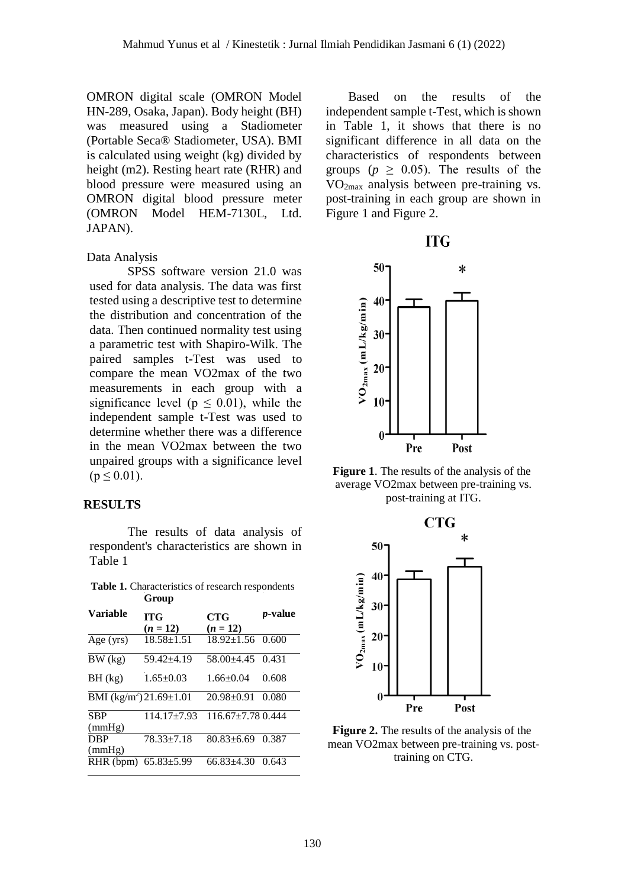OMRON digital scale (OMRON Model HN-289, Osaka, Japan). Body height (BH) was measured using a Stadiometer (Portable Seca® Stadiometer, USA). BMI is calculated using weight (kg) divided by height (m2). Resting heart rate (RHR) and blood pressure were measured using an OMRON digital blood pressure meter (OMRON Model HEM-7130L, Ltd. JAPAN).

#### Data Analysis

SPSS software version 21.0 was used for data analysis. The data was first tested using a descriptive test to determine the distribution and concentration of the data. Then continued normality test using a parametric test with Shapiro-Wilk. The paired samples t-Test was used to compare the mean VO2max of the two measurements in each group with a significance level ( $p \leq 0.01$ ), while the independent sample t-Test was used to determine whether there was a difference in the mean VO2max between the two unpaired groups with a significance level  $(p \le 0.01)$ .

#### **RESULTS**

The results of data analysis of respondent's characteristics are shown in Table 1

Table 1. Characteristics of research respondents **Group**

|                           | Group                    |                          |                 |
|---------------------------|--------------------------|--------------------------|-----------------|
| Variable                  | <b>ITG</b><br>$(n = 12)$ | <b>CTG</b><br>$(n = 12)$ | <i>p</i> -value |
|                           |                          |                          |                 |
| Age (yrs)                 | $18.58 \pm 1.51$         | $18.92 \pm 1.56$ 0.600   |                 |
| BW (kg)                   | 59.42±4.19               | 58.00±4.45               | 0.431           |
| BH (kg)                   | $1.65 \pm 0.03$          | $1.66 \pm 0.04$          | 0.608           |
| BMI $(kg/m^2)$ 21.69±1.01 |                          | $20.98 \pm 0.91$         | 0.080           |
| <b>SBP</b><br>(mmHg)      | $114.17 \pm 7.93$        | $116.67 + 7.780.444$     |                 |
| <b>DBP</b><br>(mmHg)      | 78.33±7.18               | $80.83 \pm 6.69$         | 0.387           |
| RHR (bpm)                 | $65.83{\pm}5.99$         | $66.83{\pm}4.30$         | 0.643           |

Based on the results of the independent sample t-Test, which is shown in Table 1, it shows that there is no significant difference in all data on the characteristics of respondents between groups ( $p \geq 0.05$ ). The results of the VO2max analysis between pre-training vs. post-training in each group are shown in Figure 1 and Figure 2.





**Figure 1**. The results of the analysis of the average VO2max between pre-training vs. post-training at ITG.



**Figure 2.** The results of the analysis of the mean VO2max between pre-training vs. posttraining on CTG.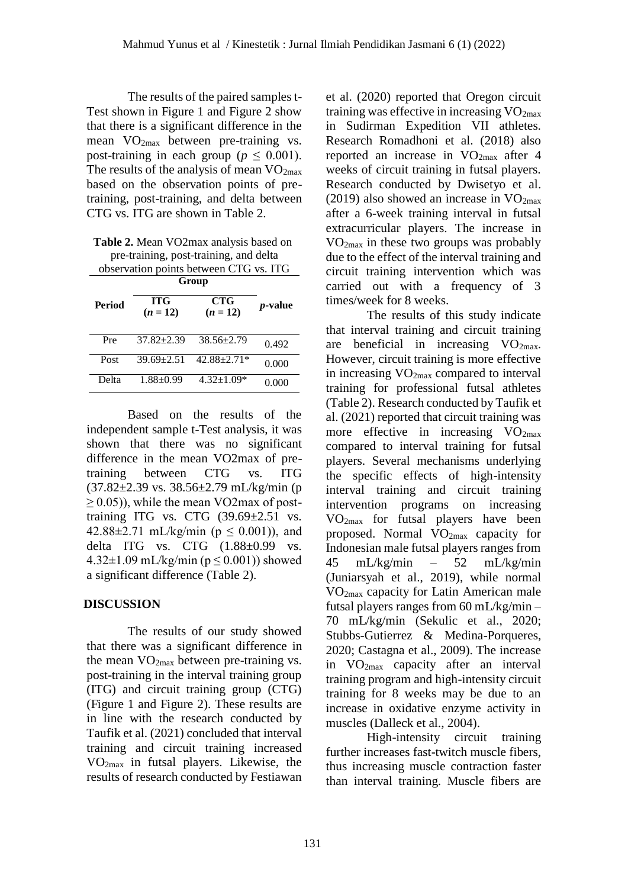The results of the paired samples t-Test shown in Figure 1 and Figure 2 show that there is a significant difference in the mean  $VO_{2max}$  between pre-training vs. post-training in each group ( $p \leq 0.001$ ). The results of the analysis of mean  $VO<sub>2max</sub>$ based on the observation points of pretraining, post-training, and delta between CTG vs. ITG are shown in Table 2.

**Table 2.** Mean VO2max analysis based on pre-training, post-training, and delta observation points between CTG vs. ITG

| Period | <b>ITG</b><br>$(n = 12)$ | <b>CTG</b><br>$(n = 12)$ | $p$ -value |
|--------|--------------------------|--------------------------|------------|
| Pre    | $37.82 \pm 2.39$         | $38.56 \pm 2.79$         | 0.492      |
| Post   | $39.69 + 2.51$           | $42.88 \pm 2.71*$        | 0.000      |
| Delta  | $1.88 \pm 0.99$          | $4.32 \pm 1.09*$         | 0.000      |

Based on the results of the independent sample t-Test analysis, it was shown that there was no significant difference in the mean VO2max of pretraining between CTG vs. ITG  $(37.82 \pm 2.39 \text{ vs. } 38.56 \pm 2.79 \text{ mL/kg/min (p)}$ ≥ 0.05)), while the mean VO2max of posttraining ITG vs. CTG  $(39.69 \pm 2.51 \text{ vs.})$ 42.88 $\pm$ 2.71 mL/kg/min (p  $\leq$  0.001)), and delta ITG vs. CTG (1.88±0.99 vs.  $4.32\pm1.09$  mL/kg/min (p < 0.001)) showed a significant difference (Table 2).

#### **DISCUSSION**

The results of our study showed that there was a significant difference in the mean  $VO<sub>2max</sub>$  between pre-training vs. post-training in the interval training group (ITG) and circuit training group (CTG) (Figure 1 and Figure 2). These results are in line with the research conducted by Taufik et al. (2021) concluded that interval training and circuit training increased VO2max in futsal players. Likewise, the results of research conducted by Festiawan et al. (2020) reported that Oregon circuit training was effective in increasing  $VO<sub>2max</sub>$ in Sudirman Expedition VII athletes. Research Romadhoni et al. (2018) also reported an increase in VO2max after 4 weeks of circuit training in futsal players. Research conducted by Dwisetyo et al. (2019) also showed an increase in  $VO<sub>2max</sub>$ after a 6-week training interval in futsal extracurricular players. The increase in VO2max in these two groups was probably due to the effect of the interval training and circuit training intervention which was carried out with a frequency of 3 times/week for 8 weeks.

The results of this study indicate that interval training and circuit training are beneficial in increasing  $VO<sub>2max</sub>$ . However, circuit training is more effective in increasing  $VO<sub>2max</sub>$  compared to interval training for professional futsal athletes (Table 2). Research conducted by Taufik et al. (2021) reported that circuit training was more effective in increasing  $VO<sub>2max</sub>$ compared to interval training for futsal players. Several mechanisms underlying the specific effects of high-intensity interval training and circuit training intervention programs on increasing VO2max for futsal players have been proposed. Normal  $VO<sub>2max</sub>$  capacity for Indonesian male futsal players ranges from 45 mL/kg/min – 52 mL/kg/min (Juniarsyah et al., 2019), while normal VO2max capacity for Latin American male futsal players ranges from 60 mL/kg/min – 70 mL/kg/min (Sekulic et al., 2020; Stubbs-Gutierrez & Medina-Porqueres, 2020; Castagna et al., 2009). The increase in VO2max capacity after an interval training program and high-intensity circuit training for 8 weeks may be due to an increase in oxidative enzyme activity in muscles (Dalleck et al., 2004).

High-intensity circuit training further increases fast-twitch muscle fibers, thus increasing muscle contraction faster than interval training. Muscle fibers are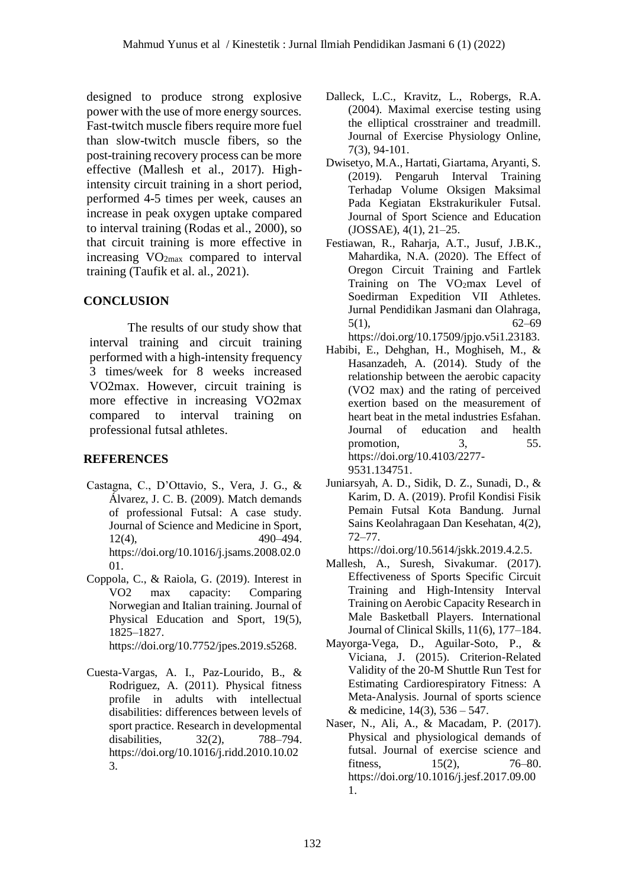designed to produce strong explosive power with the use of more energy sources. Fast-twitch muscle fibers require more fuel than slow-twitch muscle fibers, so the post-training recovery process can be more effective (Mallesh et al., 2017). Highintensity circuit training in a short period, performed 4-5 times per week, causes an increase in peak oxygen uptake compared to interval training (Rodas et al., 2000), so that circuit training is more effective in increasing VO2max compared to interval training (Taufik et al. al., 2021).

### **CONCLUSION**

The results of our study show that interval training and circuit training performed with a high-intensity frequency 3 times/week for 8 weeks increased VO2max. However, circuit training is more effective in increasing VO2max compared to interval training on professional futsal athletes.

# **REFERENCES**

- Castagna, C., D'Ottavio, S., Vera, J. G., & Álvarez, J. C. B. (2009). Match demands of professional Futsal: A case study. Journal of Science and Medicine in Sport, 12(4), 490–494. https://doi.org/10.1016/j.jsams.2008.02.0 01.
- Coppola, C., & Raiola, G. (2019). Interest in VO2 max capacity: Comparing Norwegian and Italian training. Journal of Physical Education and Sport, 19(5), 1825–1827.

<https://doi.org/10.7752/jpes.2019.s5268.>

Cuesta-Vargas, A. I., Paz-Lourido, B., & Rodriguez, A. (2011). Physical fitness profile in adults with intellectual disabilities: differences between levels of sport practice. Research in developmental disabilities, 32(2), 788–794. [https://doi.org/10.1016/j.ridd.2010.10.02](https://doi.org/10.1016/j.ridd.2010.10.023) [3.](https://doi.org/10.1016/j.ridd.2010.10.023)

- Dalleck, L.C., Kravitz, L., Robergs, R.A. (2004). Maximal exercise testing using the elliptical crosstrainer and treadmill. Journal of Exercise Physiology Online, 7(3), 94-101.
- Dwisetyo, M.A., Hartati, Giartama, Aryanti, S. (2019). Pengaruh Interval Training Terhadap Volume Oksigen Maksimal Pada Kegiatan Ekstrakurikuler Futsal. Journal of Sport Science and Education (JOSSAE), 4(1), 21–25.
- Festiawan, R., Raharja, A.T., Jusuf, J.B.K., Mahardika, N.A. (2020). The Effect of Oregon Circuit Training and Fartlek Training on The  $VO<sub>2</sub>max$  Level of Soedirman Expedition VII Athletes. Jurnal Pendidikan Jasmani dan Olahraga, 5(1),  $62-69$ <https://doi.org/10.17509/jpjo.v5i1.23183.>
- Habibi, E., Dehghan, H., Moghiseh, M., & Hasanzadeh, A. (2014). Study of the relationship between the aerobic capacity (VO2 max) and the rating of perceived exertion based on the measurement of heart beat in the metal industries Esfahan. Journal of education and health promotion, 3, 55. [https://doi.org/10.4103/2277-](https://doi.org/10.4103/2277-9531.134751) [9531.134751.](https://doi.org/10.4103/2277-9531.134751)
- Juniarsyah, A. D., Sidik, D. Z., Sunadi, D., & Karim, D. A. (2019). Profil Kondisi Fisik Pemain Futsal Kota Bandung. Jurnal Sains Keolahragaan Dan Kesehatan, 4(2), 72–77.

[https://doi.org/10.5614/jskk.2019.4.2.5.](https://doi.org/10.5614/jskk.2019.4.2.5)

- Mallesh, A., Suresh, Sivakumar. (2017). Effectiveness of Sports Specific Circuit Training and High-Intensity Interval Training on Aerobic Capacity Research in Male Basketball Players. International Journal of Clinical Skills, 11(6), 177–184.
- Mayorga-Vega, D., Aguilar-Soto, P., & Viciana, J. (2015). Criterion-Related Validity of the 20-M Shuttle Run Test for Estimating Cardiorespiratory Fitness: A Meta-Analysis. Journal of sports science & medicine, 14(3), 536 – 547.
- Naser, N., Ali, A., & Macadam, P. (2017). Physical and physiological demands of futsal. Journal of exercise science and fitness, 15(2), 76–80. [https://doi.org/10.1016/j.jesf.2017.09.00](https://doi.org/10.1016/j.jesf.2017.09.001) [1.](https://doi.org/10.1016/j.jesf.2017.09.001)